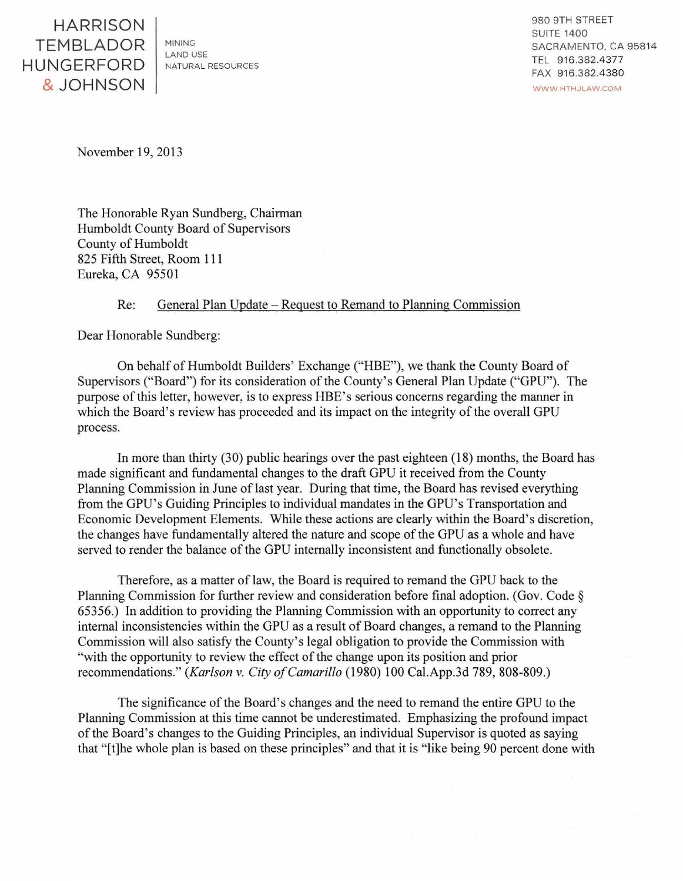HARRISON TEMBLADOR HUNGERFORD &JOHNSON

MINING LAND USE NATURAL RESOURCES 980 9TH STREET SUITE 1400 SACRAMENTO, CA 95814 TEL 9 16.382.4377 FAX 9 16.382.4380 WWW HTHJLAW.COM

November 19,2013

The Honorable Ryan Sundberg, Chairman Humboldt County Board of Supervisors County of Humboldt 825 Fifth Street, Room 111 Eureka, CA 95501

## Re: General Plan Update – Request to Remand to Planning Commission

Dear Honorable Sundberg:

On behalf of Humboldt Builders' Exchange ("HBE"), we thank the County Board of Supervisors ("Board") for its consideration of the County's General Plan Update ("GPU"). The purpose of this letter, however, is to express HBE's serious concerns regarding the manner in which the Board's review has proceeded and its impact on the integrity of the overall GPU process.

In more than thirty (30) public hearings over the past eighteen (18) months, the Board has made significant and fundamental changes to the draft GPU it received from the County Planning Commission in June of last year. During that time, the Board has revised everything from the GPU's Guiding Principles to individual mandates in the GPU's Transportation and Economic Development Elements. While these actions are clearly within the Board's discretion, the changes have fundamentally altered the nature and scope of the GPU as a whole and have served to render the balance of the GPU internally inconsistent and functionally obsolete.

Therefore, as a matter of law, the Board is required to remand the GPU back to the Planning Commission for further review and consideration before final adoption. (Gov. Code§ 65356.) In addition to providing the Planning Commission with an opportunity to correct any internal inconsistencies within the GPU as a result of Board changes, a remand to the Planning Commission will also satisfy the County's legal obligation to provide the Commission with "with the opportunity to review the effect of the change upon its position and prior recommendations." *(Karlson v. City of Camarillo* (1980) 100 Cal.App.3d 789, 808-809.)

The significance of the Board's changes and the need to remand the entire GPU to the Planning Commission at this time cannot be underestimated. Emphasizing the profound impact of the Board's changes to the Guiding Principles, an individual Supervisor is quoted as saying that "[t]he whole plan is based on these principles" and that it is "like being 90 percent done with